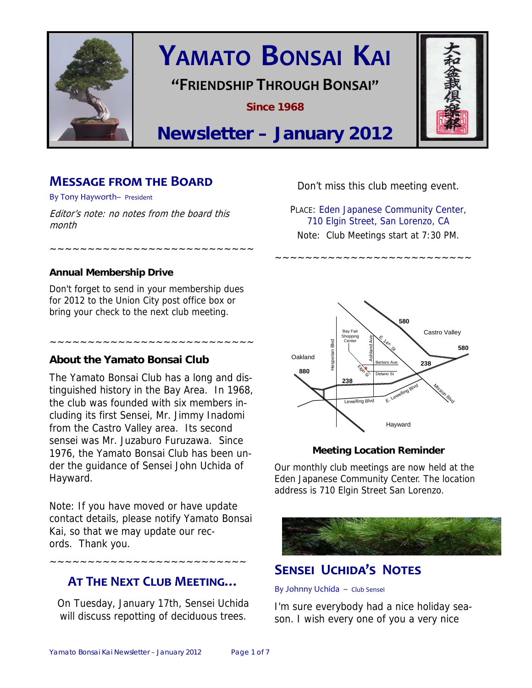

# **YAMATO BONSAI KAI**

## **"FRIENDSHIP THROUGH BONSAI"**

**Since 1968** 



## **Newsletter – January 2012**

## **MESSAGE FROM THE BOARD**

By Tony Hayworth– President

Editor's note: no notes from the board this month

#### **Annual Membership Drive**

Don't forget to send in your membership dues for 2012 to the Union City post office box or bring your check to the next club meeting.

~~~~~~~~~~~~~~~~~~~~~~~~~~~

~~~~~~~~~~~~~~~~~~~~~~~~~~~

#### **About the Yamato Bonsai Club**

The Yamato Bonsai Club has a long and distinguished history in the Bay Area. In 1968, the club was founded with six members including its first Sensei, Mr. Jimmy Inadomi from the Castro Valley area. Its second sensei was Mr. Juzaburo Furuzawa. Since 1976, the Yamato Bonsai Club has been under the guidance of Sensei John Uchida of Hayward.

Note: If you have moved or have update contact details, please notify Yamato Bonsai Kai, so that we may update our records. Thank you.

~~~~~~~~~~~~~~~~~~~~~~~~~~

## **AT THE NEXT CLUB MEETING…**

On Tuesday, January 17th, Sensei Uchida will discuss repotting of deciduous trees.

Don't miss this club meeting event.

PLACE: Eden Japanese Community Center, 710 Elgin Street, San Lorenzo, CA Note: Club Meetings start at 7:30 PM.

~~~~~~~~~~~~~~~~~~~~~~~~~~



#### **Meeting Location Reminder**

Our monthly club meetings are now held at the Eden Japanese Community Center. The location address is 710 Elgin Street San Lorenzo.



## **SENSEI UCHIDA'S NOTES**

#### By Johnny Uchida – Club Sensei

I'm sure everybody had a nice holiday season. I wish every one of you a very nice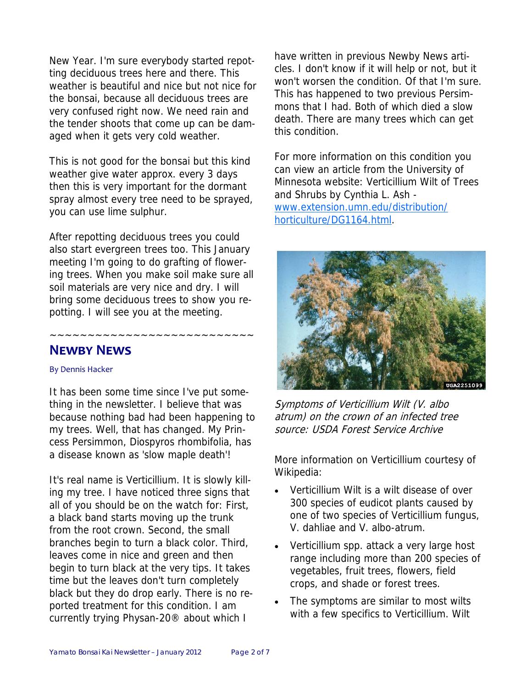New Year. I'm sure everybody started repotting deciduous trees here and there. This weather is beautiful and nice but not nice for the bonsai, because all deciduous trees are very confused right now. We need rain and the tender shoots that come up can be damaged when it gets very cold weather.

This is not good for the bonsai but this kind weather give water approx. every 3 days then this is very important for the dormant spray almost every tree need to be sprayed, you can use lime sulphur.

After repotting deciduous trees you could also start evergreen trees too. This January meeting I'm going to do grafting of flowering trees. When you make soil make sure all soil materials are very nice and dry. I will bring some deciduous trees to show you repotting. I will see you at the meeting.

~~~~~~~~~~~~~~~~~~~~~~~~~~~

## **NEWBY NEWS**

#### By Dennis Hacker

It has been some time since I've put something in the newsletter. I believe that was because nothing bad had been happening to my trees. Well, that has changed. My Princess Persimmon, Diospyros rhombifolia, has a disease known as 'slow maple death'!

It's real name is Verticillium. It is slowly killing my tree. I have noticed three signs that all of you should be on the watch for: First, a black band starts moving up the trunk from the root crown. Second, the small branches begin to turn a black color. Third, leaves come in nice and green and then begin to turn black at the very tips. It takes time but the leaves don't turn completely black but they do drop early. There is no reported treatment for this condition. I am currently trying Physan-20® about which I

have written in previous Newby News articles. I don't know if it will help or not, but it won't worsen the condition. Of that I'm sure. This has happened to two previous Persimmons that I had. Both of which died a slow death. There are many trees which can get this condition.

For more information on this condition you can view an article from the University of Minnesota website: Verticillium Wilt of Trees and Shrubs by Cynthia L. Ash www.extension.umn.edu/distribution/ horticulture/DG1164.html.



Symptoms of Verticillium Wilt (V. albo atrum) on the crown of an infected tree source: USDA Forest Service Archive

More information on Verticillium courtesy of Wikipedia:

- Verticillium Wilt is a wilt disease of over 300 species of eudicot plants caused by one of two species of Verticillium fungus, V. dahliae and V. albo-atrum.
- Verticillium spp. attack a very large host range including more than 200 species of vegetables, fruit trees, flowers, field crops, and shade or forest trees.
- The symptoms are similar to most wilts with a few specifics to Verticillium. Wilt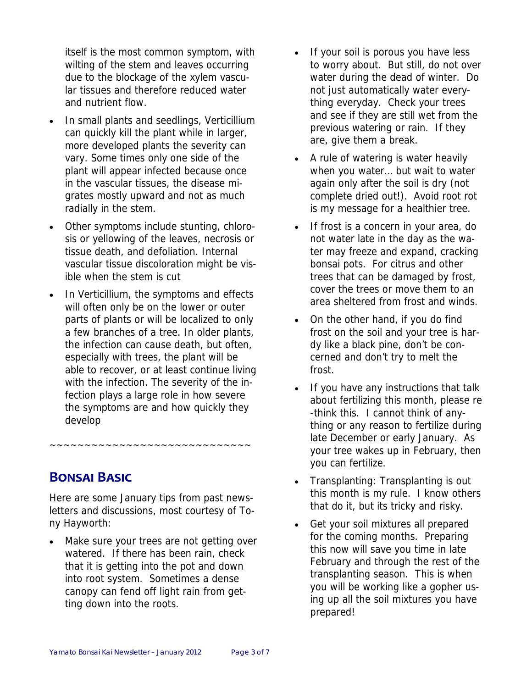itself is the most common symptom, with wilting of the stem and leaves occurring due to the blockage of the xylem vascular tissues and therefore reduced water and nutrient flow.

- In small plants and seedlings, Verticillium can quickly kill the plant while in larger, more developed plants the severity can vary. Some times only one side of the plant will appear infected because once in the vascular tissues, the disease migrates mostly upward and not as much radially in the stem.
- Other symptoms include stunting, chlorosis or yellowing of the leaves, necrosis or tissue death, and defoliation. Internal vascular tissue discoloration might be visible when the stem is cut
- In Verticillium, the symptoms and effects will often only be on the lower or outer parts of plants or will be localized to only a few branches of a tree. In older plants, the infection can cause death, but often, especially with trees, the plant will be able to recover, or at least continue living with the infection. The severity of the infection plays a large role in how severe the symptoms are and how quickly they develop

**BONSAI BASIC**

Here are some January tips from past newsletters and discussions, most courtesy of Tony Hayworth:

~~~~~~~~~~~~~~~~~~~~~~~~~~~~~

Make sure your trees are not getting over watered. If there has been rain, check that it is getting into the pot and down into root system. Sometimes a dense canopy can fend off light rain from getting down into the roots.

- If your soil is porous you have less to worry about. But still, do not over water during the dead of winter. Do not just automatically water everything everyday. Check your trees and see if they are still wet from the previous watering or rain. If they are, give them a break.
- A rule of watering is water heavily when you water… but wait to water again only after the soil is dry (not complete dried out!). Avoid root rot is my message for a healthier tree.
- If frost is a concern in your area, do not water late in the day as the water may freeze and expand, cracking bonsai pots. For citrus and other trees that can be damaged by frost, cover the trees or move them to an area sheltered from frost and winds.
- On the other hand, if you do find frost on the soil and your tree is hardy like a black pine, don't be concerned and don't try to melt the frost.
- If you have any instructions that talk about fertilizing this month, please re -think this. I cannot think of anything or any reason to fertilize during late December or early January. As your tree wakes up in February, then you can fertilize.
- Transplanting: Transplanting is out this month is my rule. I know others that do it, but its tricky and risky.
- Get your soil mixtures all prepared for the coming months. Preparing this now will save you time in late February and through the rest of the transplanting season. This is when you will be working like a gopher using up all the soil mixtures you have prepared!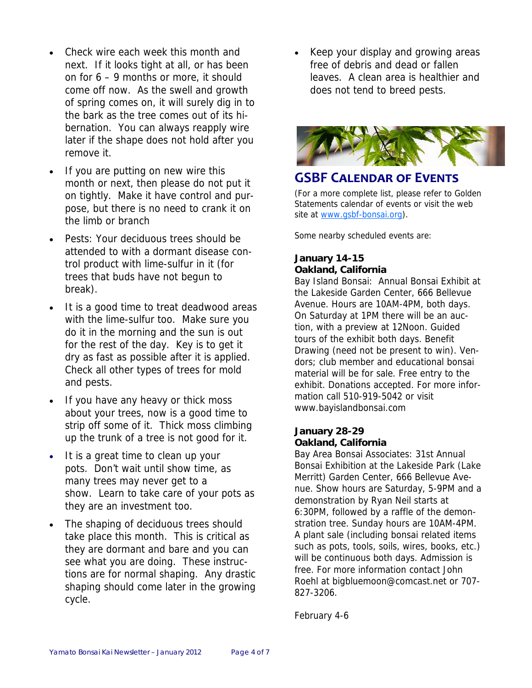- Check wire each week this month and next. If it looks tight at all, or has been on for 6 – 9 months or more, it should come off now. As the swell and growth of spring comes on, it will surely dig in to the bark as the tree comes out of its hibernation. You can always reapply wire later if the shape does not hold after you remove it.
- If you are putting on new wire this month or next, then please do not put it on tightly. Make it have control and purpose, but there is no need to crank it on the limb or branch
- Pests: Your deciduous trees should be attended to with a dormant disease control product with lime-sulfur in it (for trees that buds have not begun to break).
- It is a good time to treat deadwood areas with the lime-sulfur too. Make sure you do it in the morning and the sun is out for the rest of the day. Key is to get it dry as fast as possible after it is applied. Check all other types of trees for mold and pests.
- If you have any heavy or thick moss about your trees, now is a good time to strip off some of it. Thick moss climbing up the trunk of a tree is not good for it.
- It is a great time to clean up your pots. Don't wait until show time, as many trees may never get to a show. Learn to take care of your pots as they are an investment too.
- The shaping of deciduous trees should take place this month. This is critical as they are dormant and bare and you can see what you are doing. These instructions are for normal shaping. Any drastic shaping should come later in the growing cycle.

• Keep your display and growing areas free of debris and dead or fallen leaves. A clean area is healthier and does not tend to breed pests.



## **GSBF CALENDAR OF EVENTS**

(For a more complete list, please refer to Golden Statements calendar of events or visit the web site at www.gsbf-bonsai.org).

Some nearby scheduled events are:

#### **January 14-15 Oakland, California**

Bay Island Bonsai: Annual Bonsai Exhibit at the Lakeside Garden Center, 666 Bellevue Avenue. Hours are 10AM-4PM, both days. On Saturday at 1PM there will be an auction, with a preview at 12Noon. Guided tours of the exhibit both days. Benefit Drawing (need not be present to win). Vendors; club member and educational bonsai material will be for sale. Free entry to the exhibit. Donations accepted. For more information call 510-919-5042 or visit www.bayislandbonsai.com

#### **January 28-29 Oakland, California**

Bay Area Bonsai Associates: 31st Annual Bonsai Exhibition at the Lakeside Park (Lake Merritt) Garden Center, 666 Bellevue Avenue. Show hours are Saturday, 5-9PM and a demonstration by Ryan Neil starts at 6:30PM, followed by a raffle of the demonstration tree. Sunday hours are 10AM-4PM. A plant sale (including bonsai related items such as pots, tools, soils, wires, books, etc.) will be continuous both days. Admission is free. For more information contact John Roehl at bigbluemoon@comcast.net or 707- 827-3206.

February 4-6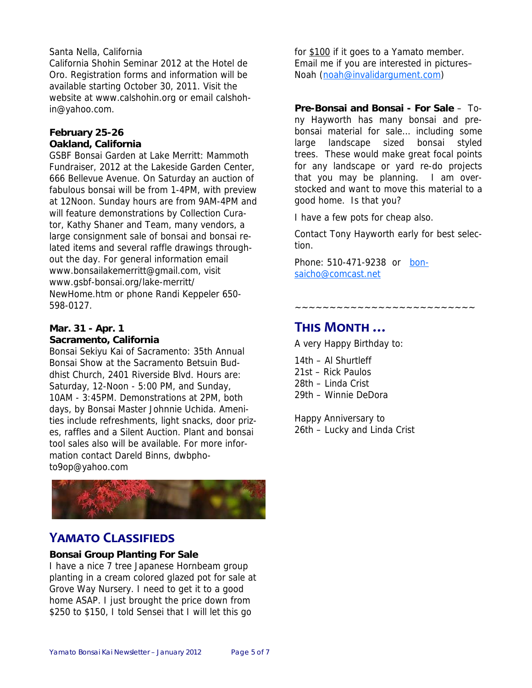#### Santa Nella, California

California Shohin Seminar 2012 at the Hotel de Oro. Registration forms and information will be available starting October 30, 2011. Visit the website at www.calshohin.org or email calshohin@yahoo.com.

#### **February 25-26 Oakland, California**

GSBF Bonsai Garden at Lake Merritt: Mammoth Fundraiser, 2012 at the Lakeside Garden Center, 666 Bellevue Avenue. On Saturday an auction of fabulous bonsai will be from 1-4PM, with preview at 12Noon. Sunday hours are from 9AM-4PM and will feature demonstrations by Collection Curator, Kathy Shaner and Team, many vendors, a large consignment sale of bonsai and bonsai related items and several raffle drawings throughout the day. For general information email www.bonsailakemerritt@gmail.com, visit www.gsbf-bonsai.org/lake-merritt/ NewHome.htm or phone Randi Keppeler 650- 598-0127.

#### **Mar. 31 - Apr. 1 Sacramento, California**

Bonsai Sekiyu Kai of Sacramento: 35th Annual Bonsai Show at the Sacramento Betsuin Buddhist Church, 2401 Riverside Blvd. Hours are: Saturday, 12-Noon - 5:00 PM, and Sunday, 10AM - 3:45PM. Demonstrations at 2PM, both days, by Bonsai Master Johnnie Uchida. Amenities include refreshments, light snacks, door prizes, raffles and a Silent Auction. Plant and bonsai tool sales also will be available. For more information contact Dareld Binns, dwbphoto9op@yahoo.com



## **YAMATO CLASSIFIEDS**

#### **Bonsai Group Planting For Sale**

I have a nice 7 tree Japanese Hornbeam group planting in a cream colored glazed pot for sale at Grove Way Nursery. I need to get it to a good home ASAP. I just brought the price down from \$250 to \$150, I told Sensei that I will let this go

for \$100 if it goes to a Yamato member. Email me if you are interested in pictures– Noah (noah@invalidargument.com)

**Pre-Bonsai and Bonsai - For Sale** – Tony Hayworth has many bonsai and prebonsai material for sale… including some large landscape sized bonsai styled trees. These would make great focal points for any landscape or yard re-do projects that you may be planning. I am overstocked and want to move this material to a good home. Is that you?

I have a few pots for cheap also.

Contact Tony Hayworth early for best selection.

Phone: 510-471-9238 or bonsaicho@comcast.net

~~~~~~~~~~~~~~~~~~~~~~~~~~

## **THIS MONTH …**

A very Happy Birthday to:

14th – Al Shurtleff 21st – Rick Paulos 28th – Linda Crist 29th – Winnie DeDora

Happy Anniversary to 26th – Lucky and Linda Crist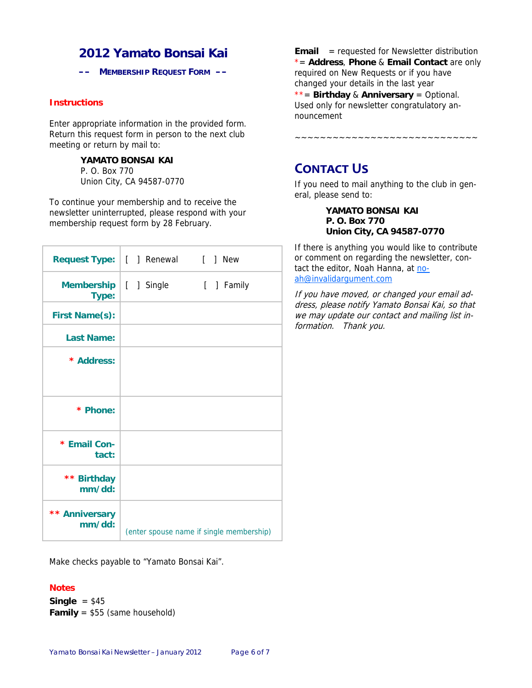## **2012 Yamato Bonsai Kai**

**–– MEMBERSHIP REQUEST FORM ––** 

#### **Instructions**

Enter appropriate information in the provided form. Return this request form in person to the next club meeting or return by mail to:

#### **YAMATO BONSAI KAI**

P. O. Box 770 Union City, CA 94587-0770

To continue your membership and to receive the newsletter uninterrupted, please respond with your membership request form by 28 February.

|                                  | Request Type:   [ ] Renewal [ ] New |                                          |
|----------------------------------|-------------------------------------|------------------------------------------|
| Membership   [ ] Single<br>Type: |                                     | [ ] Family                               |
| <b>First Name(s):</b>            |                                     |                                          |
| <b>Last Name:</b>                |                                     |                                          |
| * Address:                       |                                     |                                          |
|                                  |                                     |                                          |
| * Phone:                         |                                     |                                          |
| * Email Con-<br>tact:            |                                     |                                          |
| ** Birthday<br>mm/dd:            |                                     |                                          |
| ** Anniversary<br>mm/dd:         |                                     | (enter spouse name if single membership) |

Make checks payable to "Yamato Bonsai Kai".

#### **Notes**

**Single** = \$45 **Family** = \$55 (same household) **Email** = requested for Newsletter distribution \*= **Address**, **Phone** & **Email Contact** are only required on New Requests or if you have changed your details in the last year \*\*= **Birthday** & **Anniversary** = Optional. Used only for newsletter congratulatory announcement

~~~~~~~~~~~~~~~~~~~~~~~~~~~~~

**CONTACT US** 

If you need to mail anything to the club in general, please send to:

> **YAMATO BONSAI KAI P. O. Box 770 Union City, CA 94587-0770**

If there is anything you would like to contribute or comment on regarding the newsletter, contact the editor, Noah Hanna, at noah@invalidargument.com

If you have moved, or changed your email address, please notify Yamato Bonsai Kai, so that we may update our contact and mailing list information. Thank you.